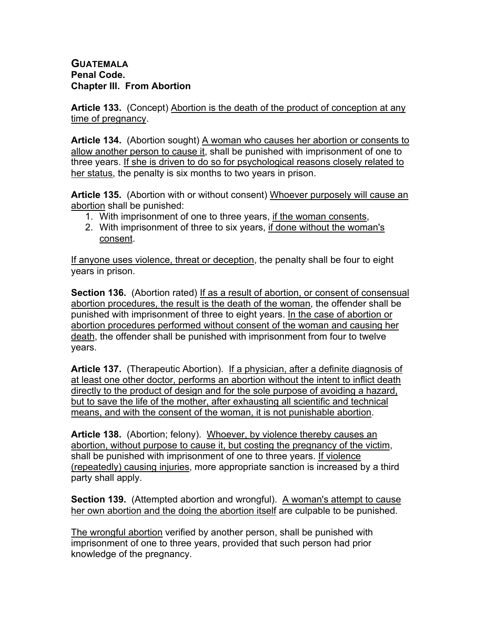## **GUATEMALA Penal Code. Chapter III. From Abortion**

**Article 133.** (Concept) Abortion is the death of the product of conception at any time of pregnancy.

**Article 134.** (Abortion sought) A woman who causes her abortion or consents to allow another person to cause it, shall be punished with imprisonment of one to three years. If she is driven to do so for psychological reasons closely related to her status, the penalty is six months to two years in prison.

**Article 135.** (Abortion with or without consent) Whoever purposely will cause an abortion shall be punished:

- 1. With imprisonment of one to three years, if the woman consents,
- 2. With imprisonment of three to six years, if done without the woman's consent.

If anyone uses violence, threat or deception, the penalty shall be four to eight years in prison.

**Section 136.** (Abortion rated) If as a result of abortion, or consent of consensual abortion procedures, the result is the death of the woman, the offender shall be punished with imprisonment of three to eight years. In the case of abortion or abortion procedures performed without consent of the woman and causing her death, the offender shall be punished with imprisonment from four to twelve years.

**Article 137.** (Therapeutic Abortion). If a physician, after a definite diagnosis of at least one other doctor, performs an abortion without the intent to inflict death directly to the product of design and for the sole purpose of avoiding a hazard, but to save the life of the mother, after exhausting all scientific and technical means, and with the consent of the woman, it is not punishable abortion.

**Article 138.** (Abortion; felony). Whoever, by violence thereby causes an abortion, without purpose to cause it, but costing the pregnancy of the victim, shall be punished with imprisonment of one to three years. If violence (repeatedly) causing injuries, more appropriate sanction is increased by a third party shall apply.

**Section 139.** (Attempted abortion and wrongful). A woman's attempt to cause her own abortion and the doing the abortion itself are culpable to be punished.

The wrongful abortion verified by another person, shall be punished with imprisonment of one to three years, provided that such person had prior knowledge of the pregnancy.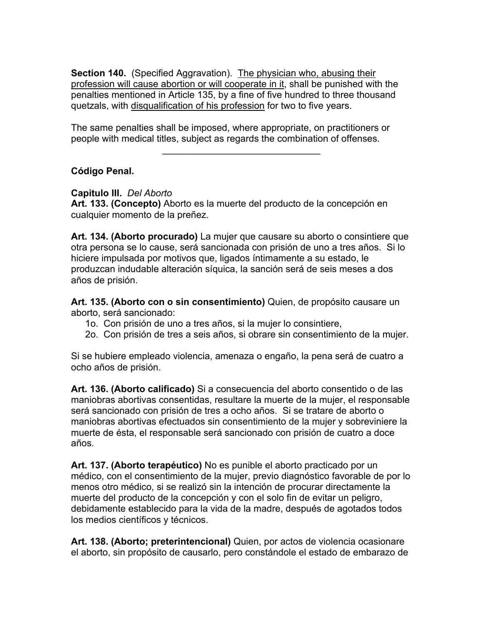**Section 140.** (Specified Aggravation). The physician who, abusing their profession will cause abortion or will cooperate in it, shall be punished with the penalties mentioned in Article 135, by a fine of five hundred to three thousand quetzals, with disqualification of his profession for two to five years.

The same penalties shall be imposed, where appropriate, on practitioners or people with medical titles, subject as regards the combination of offenses.

 $\mathcal{L}=\{1,2,3,4,5\}$ 

## **Código Penal.**

## **Capitulo III.** *Del Aborto*

**Art. 133. (Concepto)** Aborto es la muerte del producto de la concepción en cualquier momento de la preñez.

**Art. 134. (Aborto procurado)** La mujer que causare su aborto o consintiere que otra persona se lo cause, será sancionada con prisión de uno a tres años. Si lo hiciere impulsada por motivos que, ligados íntimamente a su estado, le produzcan indudable alteración síquica, la sanción será de seis meses a dos años de prisión.

**Art. 135. (Aborto con o sin consentimiento)** Quien, de propósito causare un aborto, será sancionado:

- 1o. Con prisión de uno a tres años, si la mujer lo consintiere,
- 2o. Con prisión de tres a seis años, si obrare sin consentimiento de la mujer.

Si se hubiere empleado violencia, amenaza o engaño, la pena será de cuatro a ocho años de prisión.

**Art. 136. (Aborto calificado)** Si a consecuencia del aborto consentido o de las maniobras abortivas consentidas, resultare la muerte de la mujer, el responsable será sancionado con prisión de tres a ocho años. Si se tratare de aborto o maniobras abortivas efectuados sin consentimiento de la mujer y sobreviniere la muerte de ésta, el responsable será sancionado con prisión de cuatro a doce años.

**Art. 137. (Aborto terapéutico)** No es punible el aborto practicado por un médico, con el consentimiento de la mujer, previo diagnóstico favorable de por lo menos otro médico, si se realizó sin la intención de procurar directamente la muerte del producto de la concepción y con el solo fin de evitar un peligro, debidamente establecido para la vida de la madre, después de agotados todos los medios científicos y técnicos.

**Art. 138. (Aborto; preterintencional)** Quien, por actos de violencia ocasionare el aborto, sin propósito de causarlo, pero constándole el estado de embarazo de